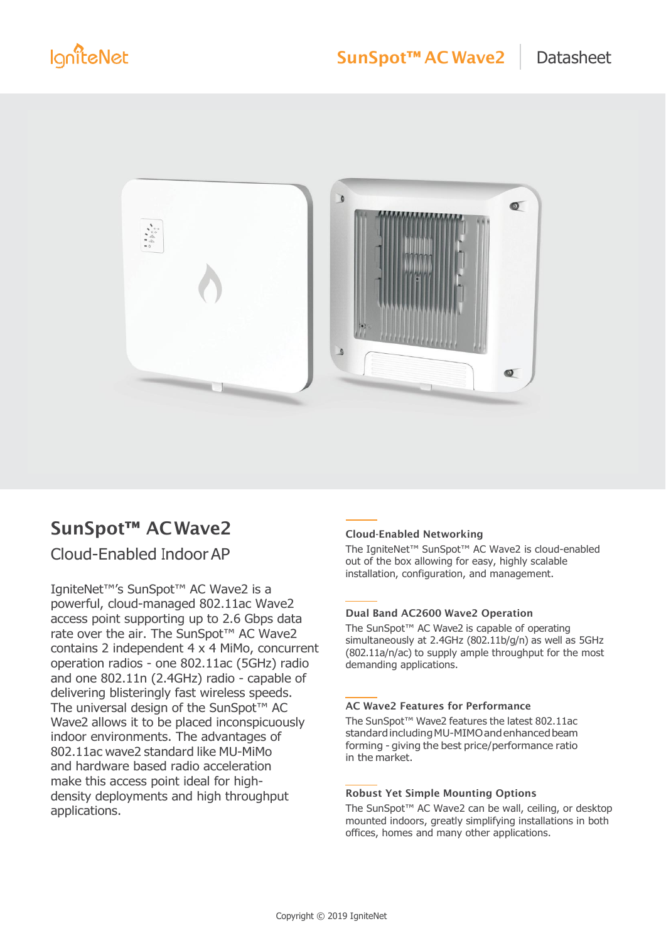

# SunSpot™ ACWave2

## Cloud-Enabled IndoorAP

IgniteNet™'s SunSpot™ AC Wave2 is a powerful, cloud-managed 802.11ac Wave2 access point supporting up to 2.6 Gbps data rate over the air. The SunSpot<sup>™</sup> AC Wave2 contains 2 independent 4 x 4 MiMo, concurrent operation radios - one 802.11ac (5GHz) radio and one 802.11n (2.4GHz) radio - capable of delivering blisteringly fast wireless speeds. The universal design of the SunSpot™ AC Wave2 allows it to be placed inconspicuously indoor environments. The advantages of 802.11ac wave2 standard like MU-MiMo and hardware based radio acceleration make this access point ideal for highdensity deployments and high throughput applications.

#### Cloud-Enabled Networking

The IgniteNet™ SunSpot™ AC Wave2 is cloud-enabled out of the box allowing for easy, highly scalable installation, configuration, and management.

#### Dual Band AC2600 Wave2 Operation

The SunSpot™ AC Wave2 is capable of operating simultaneously at 2.4GHz (802.11b/g/n) as well as 5GHz (802.11a/n/ac) to supply ample throughput for the most demanding applications.

#### AC Wave2 Features for Performance

The SunSpot™ Wave2 features the latest 802.11ac standard including MU-MIMO and enhanced beam forming - giving the best price/performance ratio in the market.

#### Robust Yet Simple Mounting Options

The SunSpot™ AC Wave2 can be wall, ceiling, or desktop mounted indoors, greatly simplifying installations in both offices, homes and many other applications.